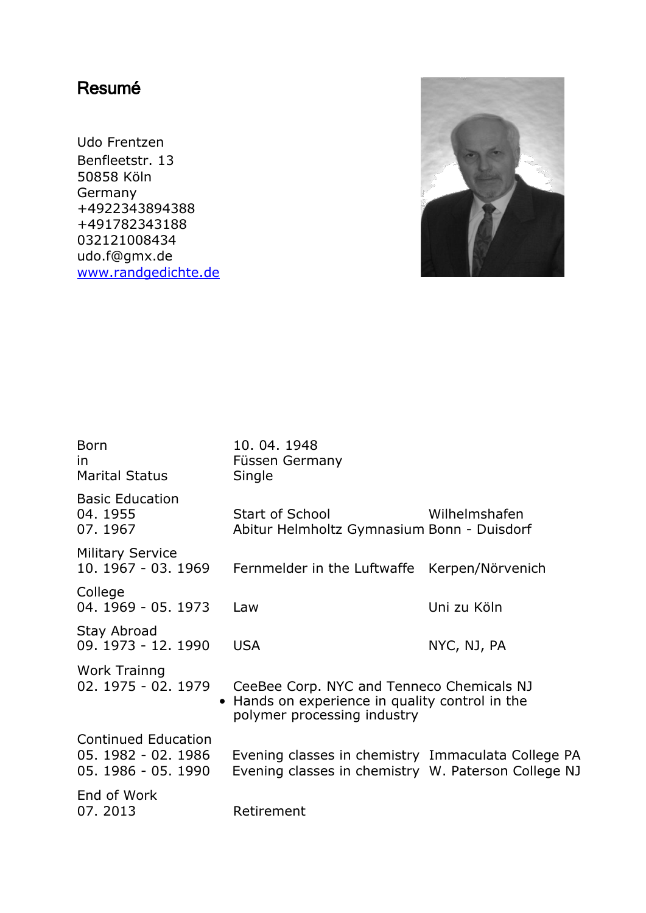## Resumé

Udo Frentzen Benfleetstr. 13 50858 Köln Germany +4922343894388 +491782343188 032121008434 udo.f@gmx.de [www.randgedichte.de](http://www.randgedichte.de/)



| <b>Born</b><br>in<br>Marital Status                                      | 10.04.1948<br>Füssen Germany<br>Single                                                                                    |               |
|--------------------------------------------------------------------------|---------------------------------------------------------------------------------------------------------------------------|---------------|
| <b>Basic Education</b><br>04.1955<br>07.1967                             | Start of School<br>Abitur Helmholtz Gymnasium Bonn - Duisdorf                                                             | Wilhelmshafen |
| <b>Military Service</b><br>10. 1967 - 03. 1969                           | Fernmelder in the Luftwaffe Kerpen/Nörvenich                                                                              |               |
| College<br>04. 1969 - 05. 1973                                           | Law                                                                                                                       | Uni zu Köln   |
| Stay Abroad<br>09. 1973 - 12. 1990                                       | <b>USA</b>                                                                                                                | NYC, NJ, PA   |
| Work Trainng<br>02. 1975 - 02. 1979                                      | CeeBee Corp. NYC and Tenneco Chemicals NJ<br>Hands on experience in quality control in the<br>polymer processing industry |               |
| <b>Continued Education</b><br>05. 1982 - 02. 1986<br>05. 1986 - 05. 1990 | Evening classes in chemistry Immaculata College PA<br>Evening classes in chemistry W. Paterson College NJ                 |               |
| End of Work<br>07.2013                                                   | Retirement                                                                                                                |               |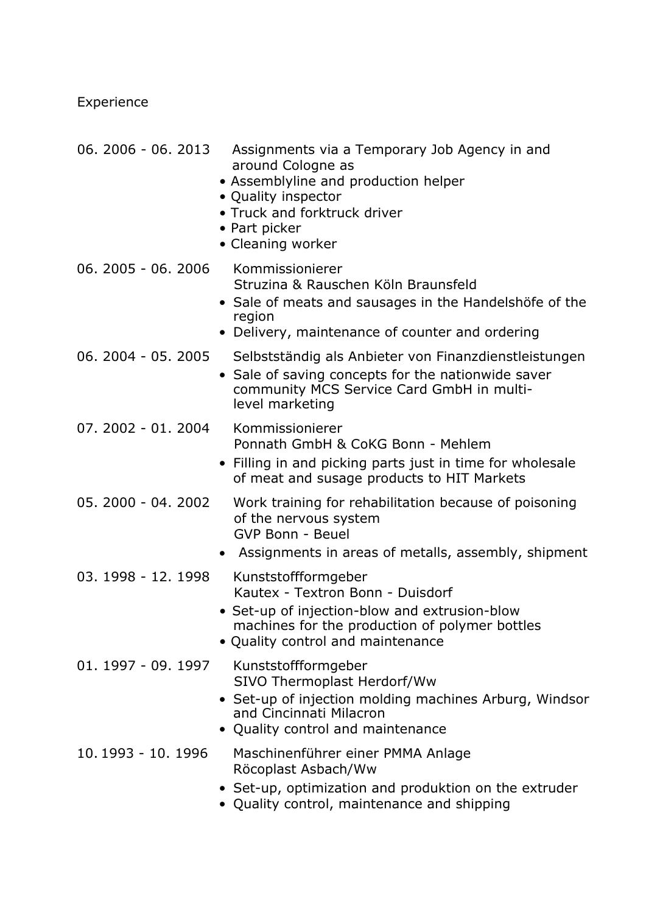Experience

| $06.2006 - 06.2013$ | Assignments via a Temporary Job Agency in and<br>around Cologne as<br>• Assemblyline and production helper<br>• Quality inspector<br>• Truck and forktruck driver<br>• Part picker<br>• Cleaning worker |
|---------------------|---------------------------------------------------------------------------------------------------------------------------------------------------------------------------------------------------------|
| 06. 2005 - 06. 2006 | Kommissionierer<br>Struzina & Rauschen Köln Braunsfeld<br>• Sale of meats and sausages in the Handelshöfe of the<br>region<br>• Delivery, maintenance of counter and ordering                           |
| 06. 2004 - 05. 2005 | Selbstständig als Anbieter von Finanzdienstleistungen<br>• Sale of saving concepts for the nationwide saver<br>community MCS Service Card GmbH in multi-<br>level marketing                             |
| 07. 2002 - 01. 2004 | Kommissionierer<br>Ponnath GmbH & CoKG Bonn - Mehlem<br>• Filling in and picking parts just in time for wholesale<br>of meat and susage products to HIT Markets                                         |
| 05. 2000 - 04. 2002 | Work training for rehabilitation because of poisoning<br>of the nervous system<br><b>GVP Bonn - Beuel</b><br>Assignments in areas of metalls, assembly, shipment                                        |
| 03. 1998 - 12. 1998 | Kunststoffformgeber<br>Kautex - Textron Bonn - Duisdorf<br>• Set-up of injection-blow and extrusion-blow<br>machines for the production of polymer bottles<br>• Quality control and maintenance         |
| 01. 1997 - 09. 1997 | Kunststoffformgeber<br>SIVO Thermoplast Herdorf/Ww<br>• Set-up of injection molding machines Arburg, Windsor<br>and Cincinnati Milacron<br>• Quality control and maintenance                            |
| 10.1993 - 10.1996   | Maschinenführer einer PMMA Anlage<br>Röcoplast Asbach/Ww<br>• Set-up, optimization and produktion on the extruder<br>• Quality control, maintenance and shipping                                        |